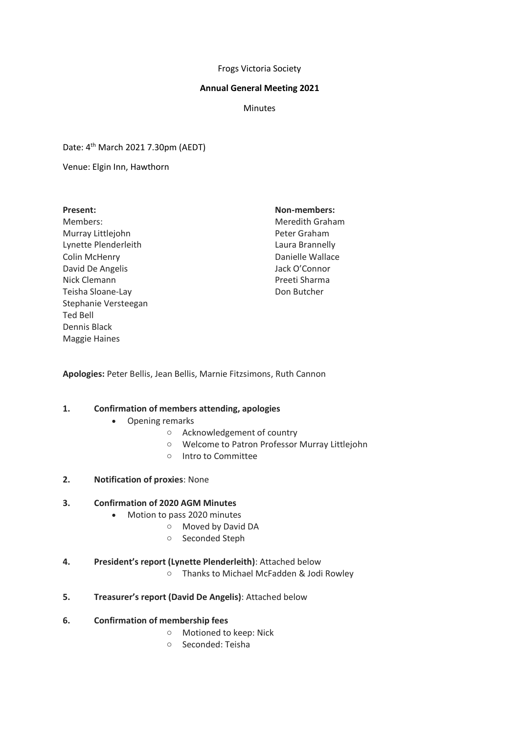#### Frogs Victoria Society

### **Annual General Meeting 2021**

**Minutes** 

Date: 4th March 2021 7.30pm (AEDT)

Venue: Elgin Inn, Hawthorn

#### **Present:**

Members: Murray Littlejohn Lynette Plenderleith Colin McHenry David De Angelis Nick Clemann Teisha Sloane-Lay Stephanie Versteegan Ted Bell Dennis Black Maggie Haines

### **Non-members:**

Meredith Graham Peter Graham Laura Brannelly Danielle Wallace Jack O'Connor Preeti Sharma Don Butcher

**Apologies:** Peter Bellis, Jean Bellis, Marnie Fitzsimons, Ruth Cannon

### **1. Confirmation of members attending, apologies**

- Opening remarks
	- o Acknowledgement of country
	- o Welcome to Patron Professor Murray Littlejohn
	- o Intro to Committee
- **2. Notification of proxies**: None

### **3. Confirmation of 2020 AGM Minutes**

- Motion to pass 2020 minutes
	- o Moved by David DA
	- o Seconded Steph

### **4. President's report (Lynette Plenderleith)**: Attached below

- o Thanks to Michael McFadden & Jodi Rowley
- **5. Treasurer's report (David De Angelis)**: Attached below

### **6. Confirmation of membership fees**

- o Motioned to keep: Nick
- o Seconded: Teisha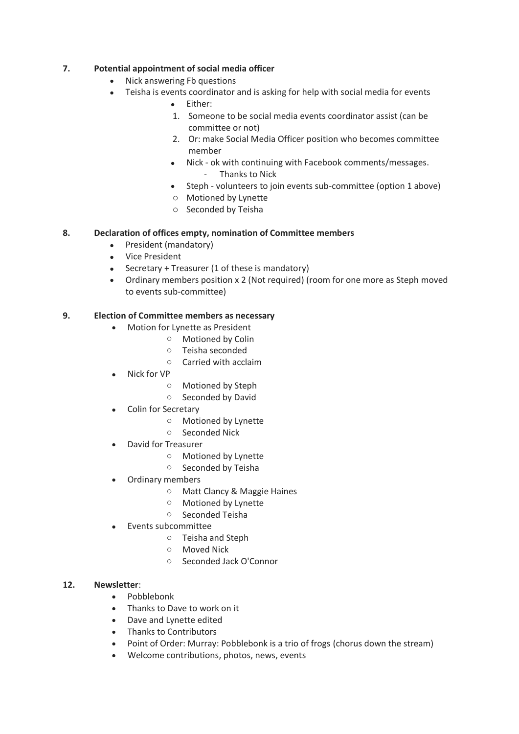# **7. Potential appointment of social media officer**

- Nick answering Fb questions
- Teisha is events coordinator and is asking for help with social media for events
	- Either:
	- 1. Someone to be social media events coordinator assist (can be committee or not)
	- 2. Or: make Social Media Officer position who becomes committee member
	- Nick ok with continuing with Facebook comments/messages. - Thanks to Nick
	- Steph volunteers to join events sub-committee (option 1 above)
	- o Motioned by Lynette
	- o Seconded by Teisha

## **8. Declaration of offices empty, nomination of Committee members**

- President (mandatory)
- Vice President
- Secretary + Treasurer (1 of these is mandatory)
- Ordinary members position x 2 (Not required) (room for one more as Steph moved to events sub-committee)

## **9. Election of Committee members as necessary**

- Motion for Lynette as President
	- o Motioned by Colin
	- o Teisha seconded
	- o Carried with acclaim
- Nick for VP
	- o Motioned by Steph
	- o Seconded by David
- Colin for Secretary
	- o Motioned by Lynette
	- o Seconded Nick
- David for Treasurer
	- o Motioned by Lynette
	- o Seconded by Teisha
- Ordinary members
	- o Matt Clancy & Maggie Haines
	- o Motioned by Lynette
	- o Seconded Teisha
- Events subcommittee
	- o Teisha and Steph
	- o Moved Nick
	- o Seconded Jack O'Connor

### **12. Newsletter**:

- Pobblebonk
- Thanks to Dave to work on it
- Dave and Lynette edited
- Thanks to Contributors
- Point of Order: Murray: Pobblebonk is a trio of frogs (chorus down the stream)
- Welcome contributions, photos, news, events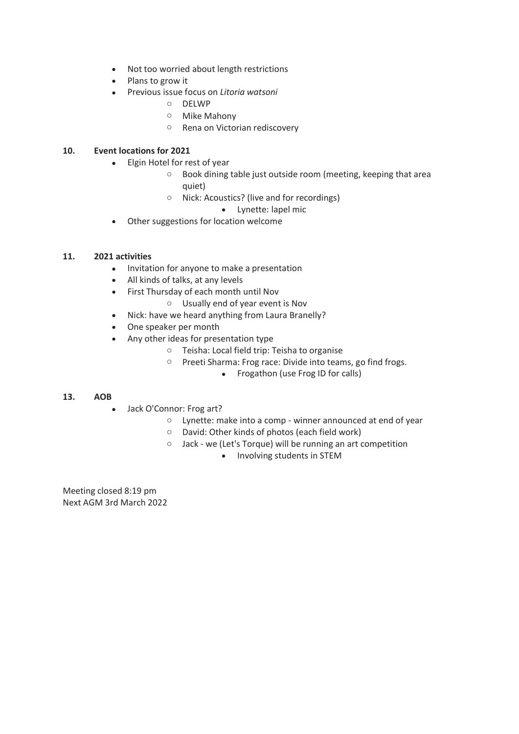- Not too worried about length restrictions
- Plans to grow it
- Previous issue focus on *Litoria watsoni*
	- o DELWP
	- o Mike Mahony
	- o Rena on Victorian rediscovery

# **10. Event locations for 2021**

- Elgin Hotel for rest of year
	- o Book dining table just outside room (meeting, keeping that area quiet)
	- o Nick: Acoustics? (live and for recordings)
		- Lynette: lapel mic
- Other suggestions for location welcome

## **11. 2021 activities**

- Invitation for anyone to make a presentation
- All kinds of talks, at any levels
- First Thursday of each month until Nov
	- o Usually end of year event is Nov
- Nick: have we heard anything from Laura Branelly?
- One speaker per month
- Any other ideas for presentation type
	- o Teisha: Local field trip: Teisha to organise
	- o Preeti Sharma: Frog race: Divide into teams, go find frogs.
		- Frogathon (use Frog ID for calls)

### **13. AOB**

- Jack O'Connor: Frog art?
	- o Lynette: make into a comp winner announced at end of year
	- o David: Other kinds of photos (each field work)
	- o Jack we (Let's Torque) will be running an art competition
		- Involving students in STEM

Meeting closed 8:19 pm Next AGM 3rd March 2022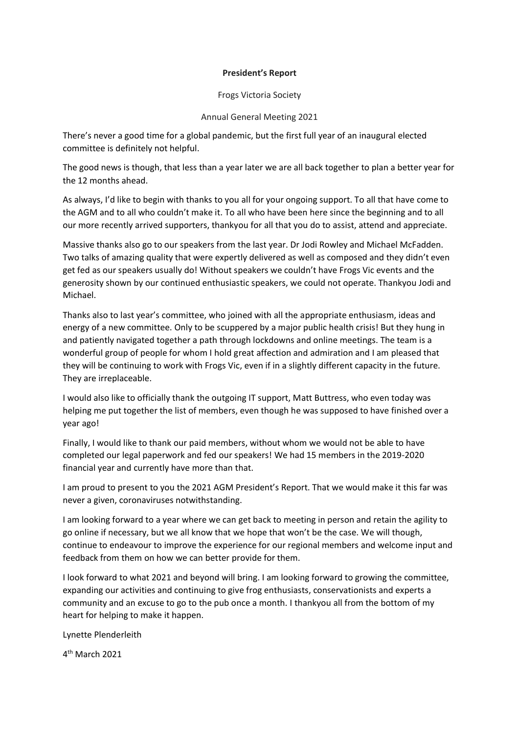### **President's Report**

Frogs Victoria Society

### Annual General Meeting 2021

There's never a good time for a global pandemic, but the first full year of an inaugural elected committee is definitely not helpful.

The good news is though, that less than a year later we are all back together to plan a better year for the 12 months ahead.

As always, I'd like to begin with thanks to you all for your ongoing support. To all that have come to the AGM and to all who couldn't make it. To all who have been here since the beginning and to all our more recently arrived supporters, thankyou for all that you do to assist, attend and appreciate.

Massive thanks also go to our speakers from the last year. Dr Jodi Rowley and Michael McFadden. Two talks of amazing quality that were expertly delivered as well as composed and they didn't even get fed as our speakers usually do! Without speakers we couldn't have Frogs Vic events and the generosity shown by our continued enthusiastic speakers, we could not operate. Thankyou Jodi and Michael.

Thanks also to last year's committee, who joined with all the appropriate enthusiasm, ideas and energy of a new committee. Only to be scuppered by a major public health crisis! But they hung in and patiently navigated together a path through lockdowns and online meetings. The team is a wonderful group of people for whom I hold great affection and admiration and I am pleased that they will be continuing to work with Frogs Vic, even if in a slightly different capacity in the future. They are irreplaceable.

I would also like to officially thank the outgoing IT support, Matt Buttress, who even today was helping me put together the list of members, even though he was supposed to have finished over a year ago!

Finally, I would like to thank our paid members, without whom we would not be able to have completed our legal paperwork and fed our speakers! We had 15 members in the 2019-2020 financial year and currently have more than that.

I am proud to present to you the 2021 AGM President's Report. That we would make it this far was never a given, coronaviruses notwithstanding.

I am looking forward to a year where we can get back to meeting in person and retain the agility to go online if necessary, but we all know that we hope that won't be the case. We will though, continue to endeavour to improve the experience for our regional members and welcome input and feedback from them on how we can better provide for them.

I look forward to what 2021 and beyond will bring. I am looking forward to growing the committee, expanding our activities and continuing to give frog enthusiasts, conservationists and experts a community and an excuse to go to the pub once a month. I thankyou all from the bottom of my heart for helping to make it happen.

Lynette Plenderleith

4 th March 2021